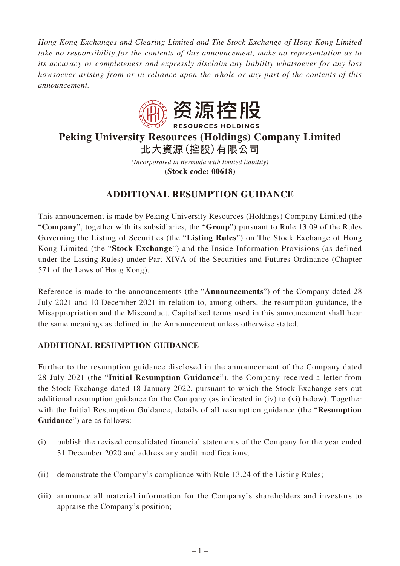*Hong Kong Exchanges and Clearing Limited and The Stock Exchange of Hong Kong Limited take no responsibility for the contents of this announcement, make no representation as to its accuracy or completeness and expressly disclaim any liability whatsoever for any loss howsoever arising from or in reliance upon the whole or any part of the contents of this announcement.*



# **Peking University Resources (Holdings) Company Limited 北大資源(控股)有限公司**

*(Incorporated in Bermuda with limited liability)* **(Stock code: 00618)**

## **ADDITIONAL RESUMPTION GUIDANCE**

This announcement is made by Peking University Resources (Holdings) Company Limited (the "**Company**", together with its subsidiaries, the "**Group**") pursuant to Rule 13.09 of the Rules Governing the Listing of Securities (the "**Listing Rules**") on The Stock Exchange of Hong Kong Limited (the "**Stock Exchange**") and the Inside Information Provisions (as defined under the Listing Rules) under Part XIVA of the Securities and Futures Ordinance (Chapter 571 of the Laws of Hong Kong).

Reference is made to the announcements (the "**Announcements**") of the Company dated 28 July 2021 and 10 December 2021 in relation to, among others, the resumption guidance, the Misappropriation and the Misconduct. Capitalised terms used in this announcement shall bear the same meanings as defined in the Announcement unless otherwise stated.

#### **ADDITIONAL RESUMPTION GUIDANCE**

Further to the resumption guidance disclosed in the announcement of the Company dated 28 July 2021 (the "**Initial Resumption Guidance**"), the Company received a letter from the Stock Exchange dated 18 January 2022, pursuant to which the Stock Exchange sets out additional resumption guidance for the Company (as indicated in (iv) to (vi) below). Together with the Initial Resumption Guidance, details of all resumption guidance (the "**Resumption Guidance**") are as follows:

- (i) publish the revised consolidated financial statements of the Company for the year ended 31 December 2020 and address any audit modifications;
- (ii) demonstrate the Company's compliance with Rule 13.24 of the Listing Rules;
- (iii) announce all material information for the Company's shareholders and investors to appraise the Company's position;